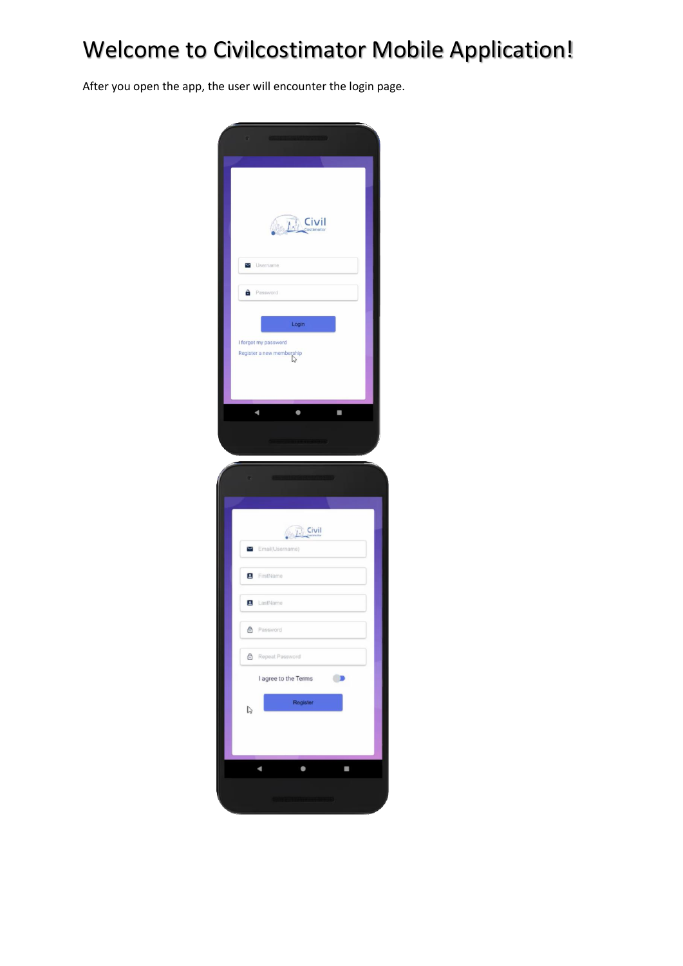## Welcome to Civilcostimator Mobile Application!

After you open the app, the user will encounter the login page.

|              | Civil                                                                                   |
|--------------|-----------------------------------------------------------------------------------------|
| Y            | Username                                                                                |
| θ            | Password                                                                                |
|              | Login                                                                                   |
|              | I forgot my password<br>Register a new membership<br>$\bigwedge^{\bullet}_{\mathbf{G}}$ |
|              |                                                                                         |
|              | <b>Constitution of the Constitution</b>                                                 |
| c            | SECOND ISSUED SHOW TO BE                                                                |
|              | $D$ Civil                                                                               |
| ▽            | Email(Username)                                                                         |
|              | FirstName                                                                               |
|              | <b>B</b> LastName                                                                       |
| ⊕            | Password                                                                                |
| ₿            | Repeat Password                                                                         |
|              | I agree to the Terms<br>$\blacksquare$                                                  |
| $\mathbb{Q}$ | Register                                                                                |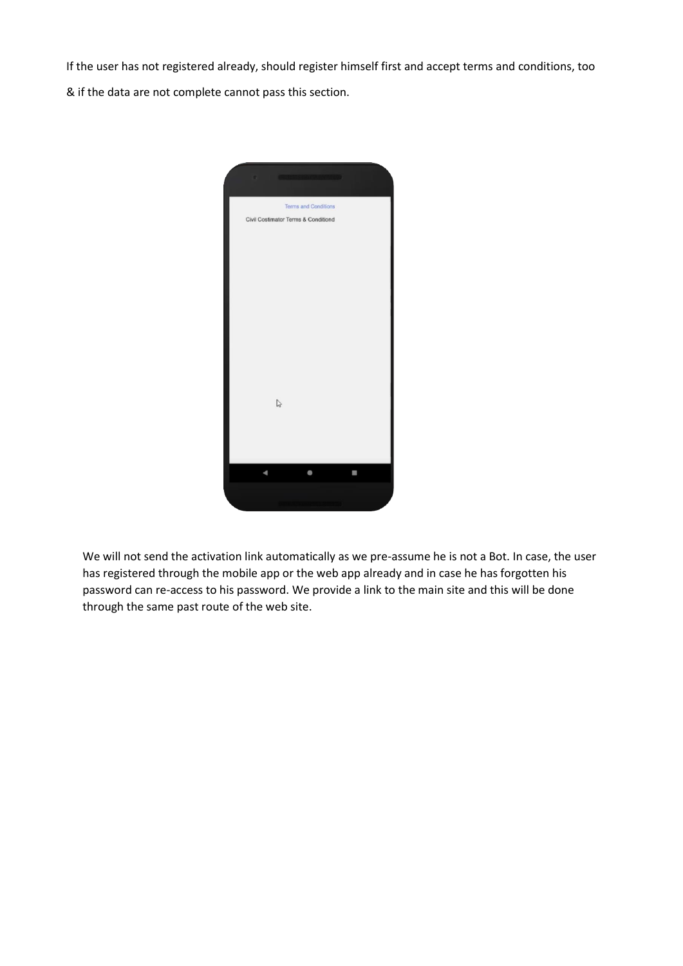If the user has not registered already, should register himself first and accept terms and conditions, too

& if the data are not complete cannot pass this section.



We will not send the activation link automatically as we pre-assume he is not a Bot. In case, the user has registered through the mobile app or the web app already and in case he has forgotten his password can re-access to his password. We provide a link to the main site and this will be done through the same past route of the web site.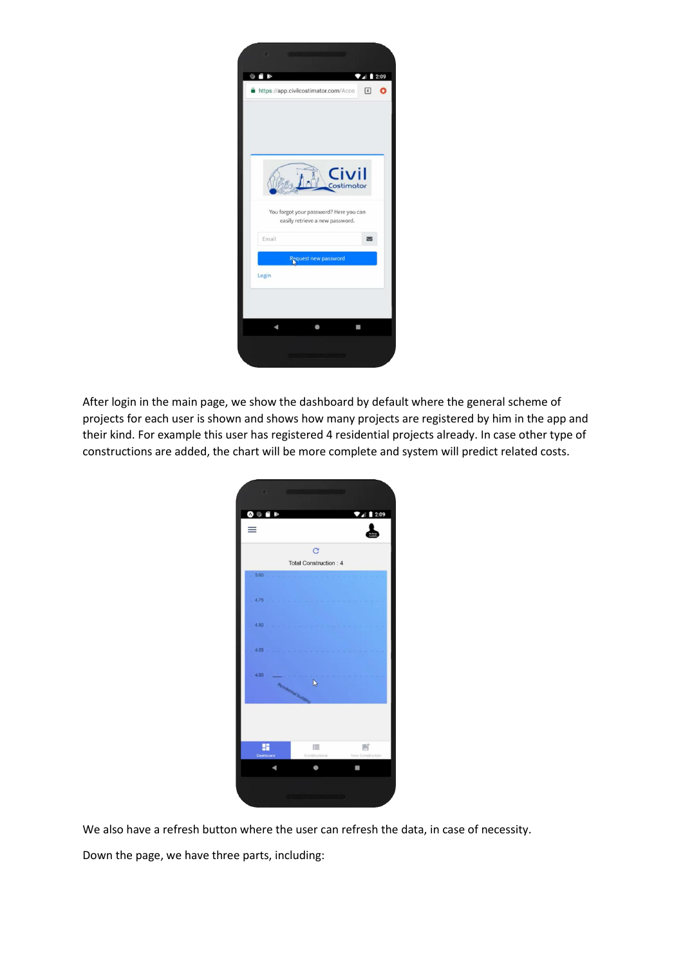

After login in the main page, we show the dashboard by default where the general scheme of projects for each user is shown and shows how many projects are registered by him in the app and their kind. For example this user has registered 4 residential projects already. In case other type of constructions are added, the chart will be more complete and system will predict related costs.



We also have a refresh button where the user can refresh the data, in case of necessity.

Down the page, we have three parts, including: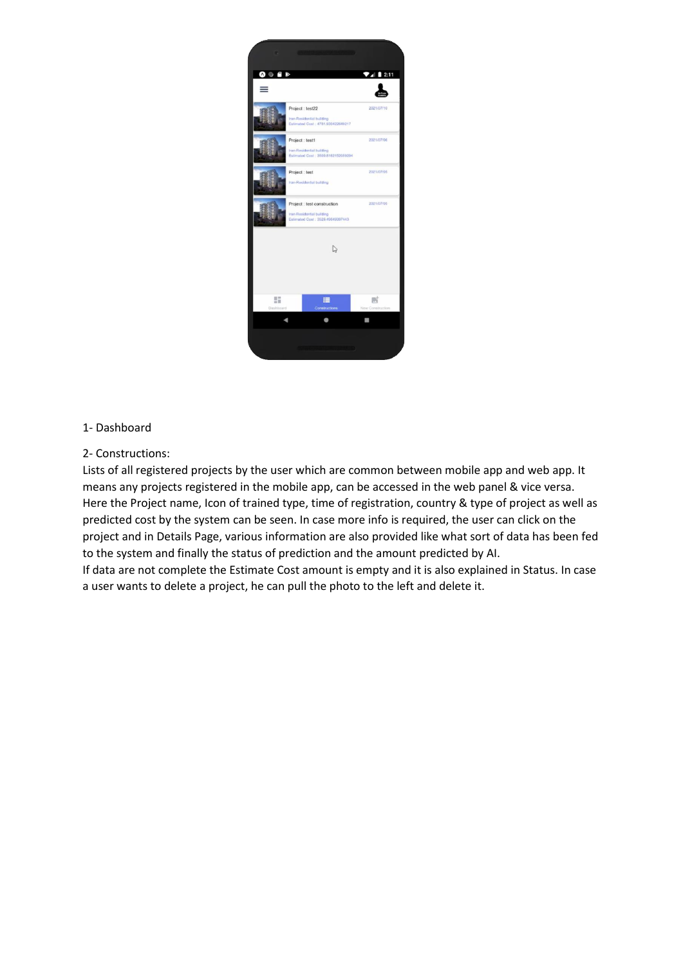

## 1- Dashboard

## 2- Constructions:

Lists of all registered projects by the user which are common between mobile app and web app. It means any projects registered in the mobile app, can be accessed in the web panel & vice versa. Here the Project name, Icon of trained type, time of registration, country & type of project as well as predicted cost by the system can be seen. In case more info is required, the user can click on the project and in Details Page, various information are also provided like what sort of data has been fed to the system and finally the status of prediction and the amount predicted by AI. If data are not complete the Estimate Cost amount is empty and it is also explained in Status. In case a user wants to delete a project, he can pull the photo to the left and delete it.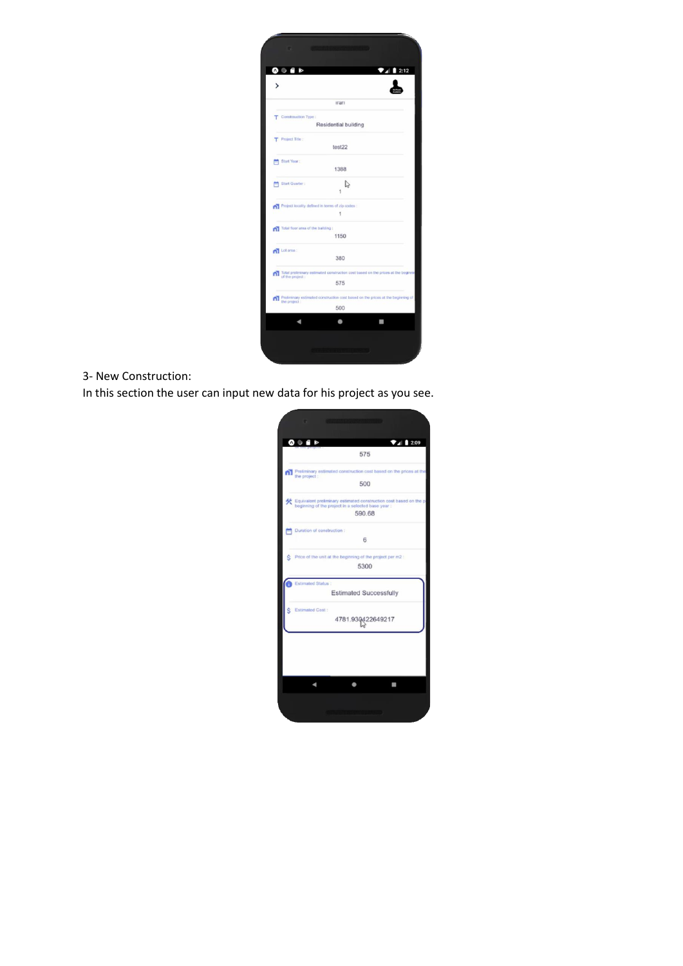| o r<br>$\geq$<br>$\mathbf v$      |                                                                                    | 2:12<br>ZΒ |
|-----------------------------------|------------------------------------------------------------------------------------|------------|
|                                   |                                                                                    |            |
|                                   | man                                                                                |            |
| Constrauction Type:<br>т          |                                                                                    |            |
|                                   | Residential building                                                               |            |
| Project Title:<br>т               |                                                                                    |            |
|                                   | test22                                                                             |            |
| Start Your:                       |                                                                                    |            |
|                                   | 1388                                                                               |            |
| Start Quarter:                    | P                                                                                  |            |
|                                   |                                                                                    |            |
|                                   | Project locality defined in terms of zip codes :                                   |            |
|                                   | 1                                                                                  |            |
| Total floor area of the building: |                                                                                    |            |
|                                   | 1150                                                                               |            |
| All Lot area :                    |                                                                                    |            |
|                                   | 380                                                                                |            |
| m                                 | Total preliminary estimated construction cost based on the prices at the beginning |            |
| of the project :                  | 575                                                                                |            |
|                                   | Preliminary estimated construction cost based on the prices at the beginning of    |            |
| ጠ<br>the project :                | 500                                                                                |            |
|                                   |                                                                                    |            |
|                                   |                                                                                    |            |

## 3- New Construction:

In this section the user can input new data for his project as you see.

ι.

|   | 74209<br>$\bullet$ $\bullet$ $\bullet$                                                                                  |  |
|---|-------------------------------------------------------------------------------------------------------------------------|--|
|   | 575                                                                                                                     |  |
| m | Preliminary estimated construction cost based on the prices at the<br>the project :                                     |  |
|   | 500                                                                                                                     |  |
|   | Equivalent preliminary estimated construction cost based on the p<br>beginning of the project in a selected base year : |  |
|   | 590.68                                                                                                                  |  |
|   | Duration of construction :                                                                                              |  |
|   | 6                                                                                                                       |  |
|   | Price of the unit at the beginning of the project per m2 :                                                              |  |
|   | 5300                                                                                                                    |  |
|   | <b>Estimated Status:</b>                                                                                                |  |
|   | <b>Estimated Successfully</b>                                                                                           |  |
|   | Estimated Cost:                                                                                                         |  |
|   | 4781.930422649217                                                                                                       |  |
|   |                                                                                                                         |  |
|   |                                                                                                                         |  |
|   |                                                                                                                         |  |
|   |                                                                                                                         |  |
|   |                                                                                                                         |  |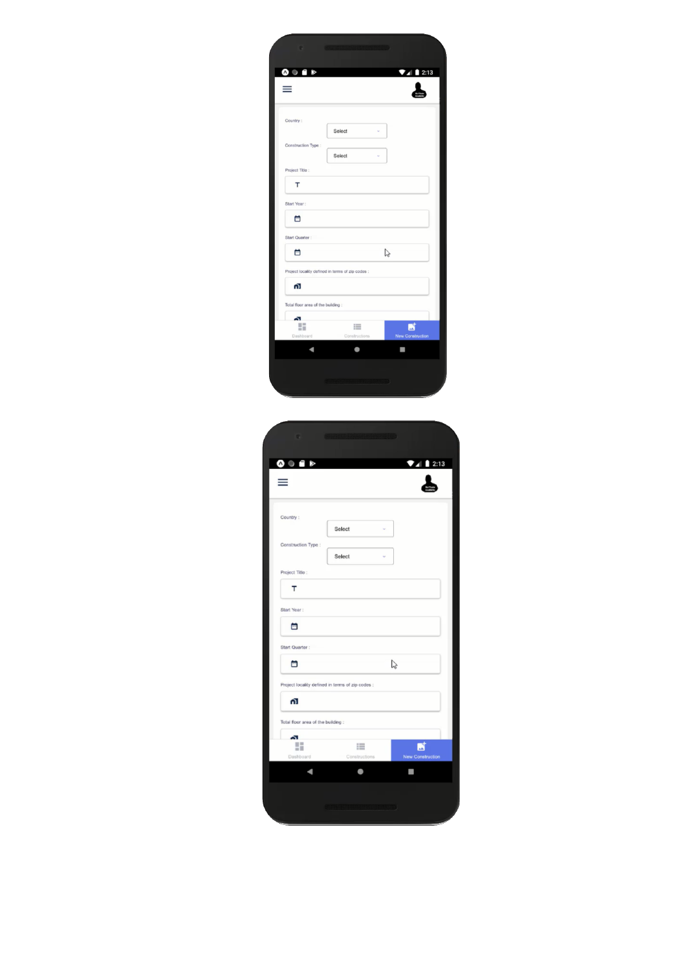| $\bullet$ $\bullet$ $\bullet$     | $\nabla$ 4 2:13                                  |
|-----------------------------------|--------------------------------------------------|
|                                   |                                                  |
| Country:                          |                                                  |
|                                   | Select<br>v                                      |
| Construction Type:                | Select<br>u                                      |
| Project Title :                   |                                                  |
| т                                 |                                                  |
| Start Year:                       |                                                  |
| Ä                                 |                                                  |
| Start Quarter :                   |                                                  |
| 茴                                 | $\mathbb{Z}$                                     |
|                                   | Project locality defined in terms of zip codes : |
| 61                                |                                                  |
| Total floor area of the building: |                                                  |
| ₷<br>œ                            | 這                                                |
| őΪ<br>Dashboard                   | <b>New Construction</b><br>Constructions         |
|                                   |                                                  |

| $\bullet$ $\bullet$ $\bullet$     | $\nabla$ <sub>4</sub> 2:13                       |
|-----------------------------------|--------------------------------------------------|
|                                   |                                                  |
|                                   |                                                  |
| Country:                          | Select<br>v                                      |
| Construction Type:                |                                                  |
|                                   | Select<br>ü                                      |
| Project Title:                    |                                                  |
| т                                 |                                                  |
| Start Year:                       |                                                  |
| 囼                                 |                                                  |
| Start Quarter :                   |                                                  |
| ö                                 | 2                                                |
|                                   | Project locality defined in terms of zip codes : |
| ۵ī.                               |                                                  |
| Total floor area of the building: |                                                  |
| Ő.<br>H                           |                                                  |
| Dashboard                         | 這<br>Constructions<br><b>New Construction</b>    |
|                                   |                                                  |
|                                   |                                                  |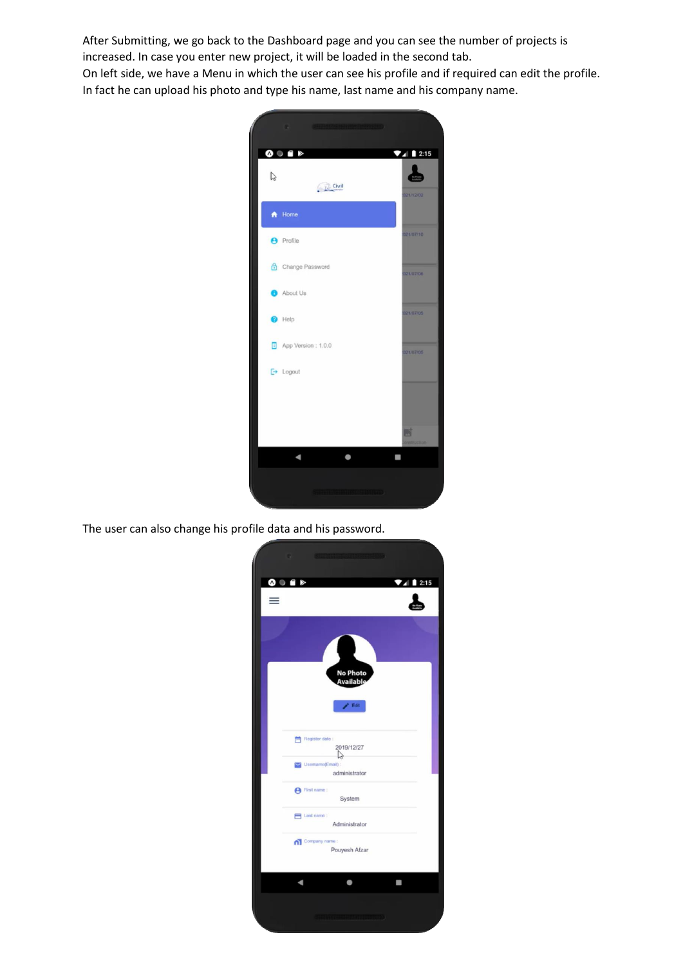After Submitting, we go back to the Dashboard page and you can see the number of projects is increased. In case you enter new project, it will be loaded in the second tab. On left side, we have a Menu in which the user can see his profile and if required can edit the profile. In fact he can upload his photo and type his name, last name and his company name.



The user can also change his profile data and his password.

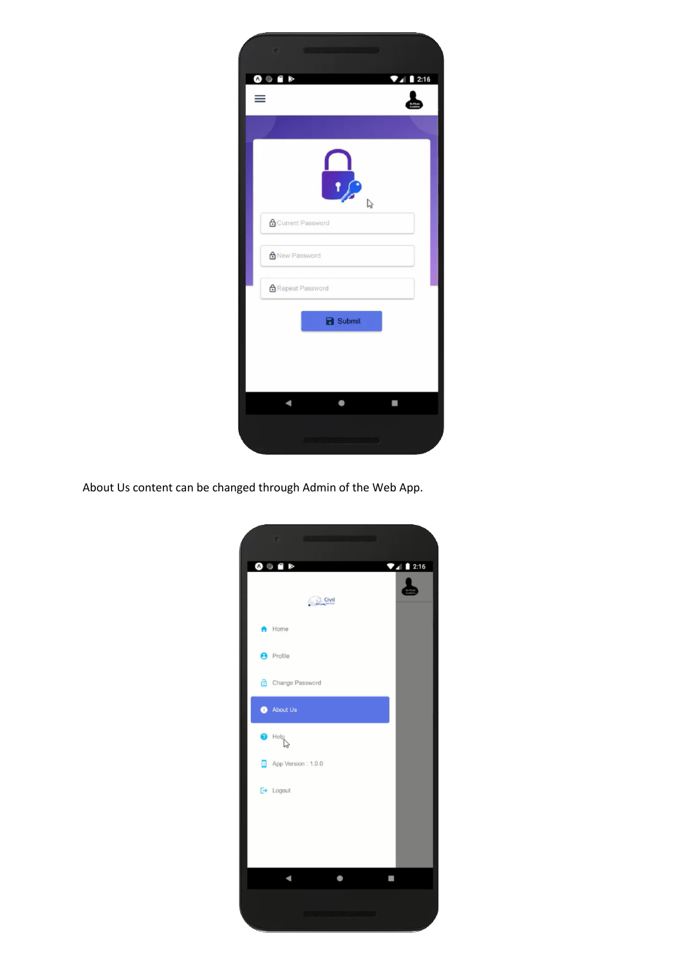| . <b>Contract of the Contract of the Contract of the Contract of the Contract of the Contract of the Contract of the Contract of the Contract of the Contract of the Contract of the Contract of the Contract of the Contract of</b> |              |
|--------------------------------------------------------------------------------------------------------------------------------------------------------------------------------------------------------------------------------------|--------------|
| $\bullet$ $\bullet$ $\bullet$                                                                                                                                                                                                        | $\n  2:16\n$ |
|                                                                                                                                                                                                                                      |              |
| $\mathbf{r}$<br>2                                                                                                                                                                                                                    |              |
| <b>A</b> Current Password                                                                                                                                                                                                            |              |
| A New Password                                                                                                                                                                                                                       |              |
| Repeat Password                                                                                                                                                                                                                      |              |
| <b>B</b> Submit                                                                                                                                                                                                                      |              |
|                                                                                                                                                                                                                                      |              |
|                                                                                                                                                                                                                                      |              |
|                                                                                                                                                                                                                                      |              |
|                                                                                                                                                                                                                                      |              |

About Us content can be changed through Admin of the Web App.